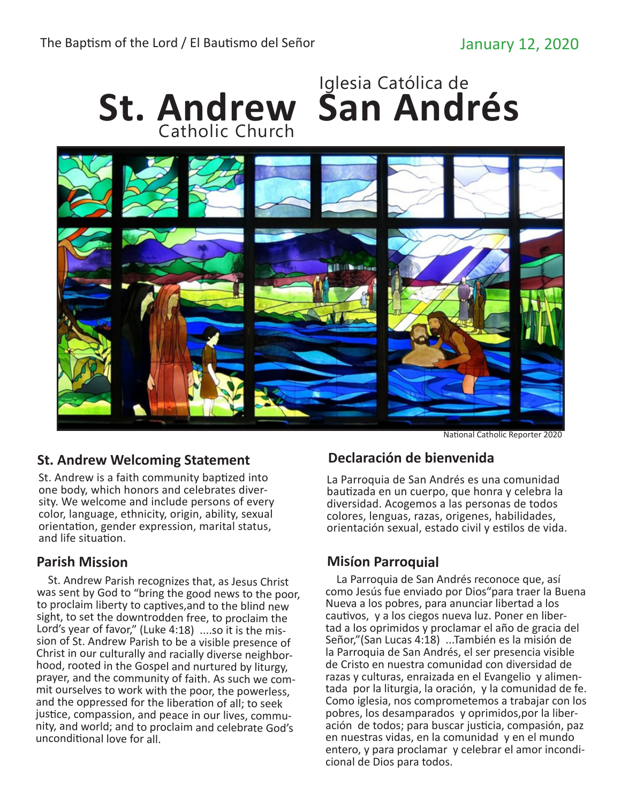

## **St. Andrew Welcoming Statement**

St. Andrew is a faith community baptized into one body, which honors and celebrates diver- sity. We welcome and include persons of every color, language, ethnicity, origin, ability, sexual orientation, gender expression, marital status, and life situation.

## **Parish Mission**

 St. Andrew Parish recognizes that, as Jesus Christ was sent by God to "bring the good news to the poor, to proclaim liberty to captives,and to the blind new sight, to set the downtrodden free, to proclaim the Lord's year of favor," (Luke 4:18) ....so it is the mis sion of St. Andrew Parish to be a visible presence of Christ in our culturally and racially diverse neighborhood, rooted in the Gospel and nurtured by liturgy, prayer, and the community of faith. As such we com mit ourselves to work with the poor, the powerless, and the oppressed for the liberation of all; to seek justice, compassion, and peace in our lives, commu nity, and world; and to proclaim and celebrate God's unconditional love for all.

## **Declaración de bienvenida**

La Parroquia de San Andrés es una comunidad bautizada en un cuerpo, que honra y celebra la diversidad. Acogemos a las personas de todos colores, lenguas, razas, origenes, habilidades, orientación sexual, estado civil y estilos de vida.

## **Misíon Parroquial**

 La Parroquia de San Andrés reconoce que, así como Jesús fue enviado por Dios"para traer la Buena Nueva a los pobres, para anunciar libertad a los cautivos, y a los ciegos nueva luz. Poner en liber- tad a los oprimidos y proclamar el año de gracia del Señor,"(San Lucas 4:18) ...También es la misión de la Parroquia de San Andrés, el ser presencia visible de Cristo en nuestra comunidad con diversidad de<br>razas v culturas, enraizada en el Evangelio y alimentada por la liturgia, la oración, y la comunidad de fe. Como iglesia, nos comprometemos a trabajar con los pobres, los desamparados y oprimidos, por la liberación de todos; para buscar justicia, compasión, paz en nuestras vidas, en la comunidad y en el mundo entero, y para proclamar y celebrar el amor incondi- cional de Dios para todos.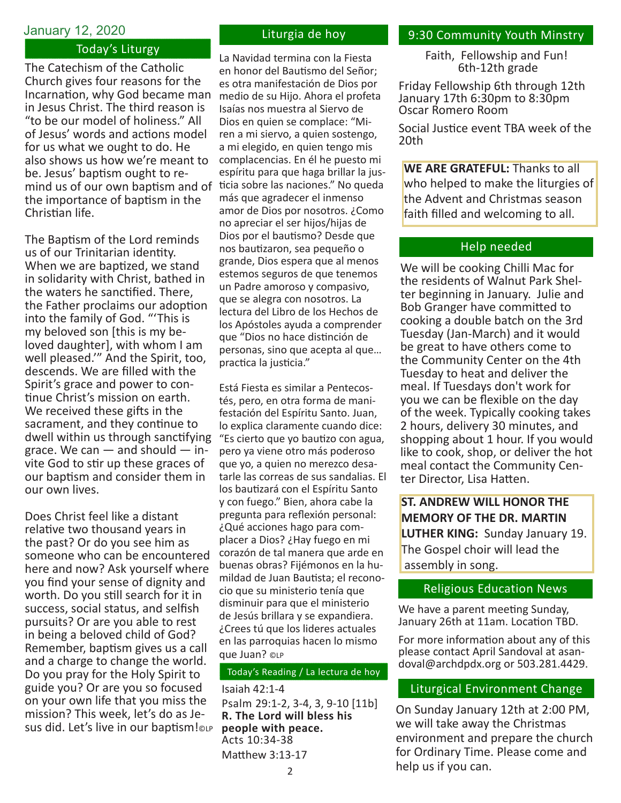#### January 12, 2020

#### Today's Liturgy

The Catechism of the Catholic Church gives four reasons for the Incarnation, why God became man in Jesus Christ. The third reason is "to be our model of holiness." All of Jesus' words and actions model for us what we ought to do. He also shows us how we're meant to be. Jesus' baptism ought to remind us of our own baptism and of ticia sobre las naciones." No queda the importance of baptism in the Christian life.

The Baptism of the Lord reminds us of our Trinitarian identity. When we are baptized, we stand in solidarity with Christ, bathed in the waters he sanctified. There, the Father proclaims our adoption into the family of God. "'This is my beloved son [this is my be- loved daughter], with whom I am well pleased.'" And the Spirit, too, descends. We are filled with the Spirit's grace and power to continue Christ's mission on earth. We received these gifts in the sacrament, and they continue to dwell within us through sanctifying grace. We can  $-$  and should  $-$  invite God to stir up these graces of our baptism and consider them in our own lives.

Does Christ feel like a distant relative two thousand years in the past? Or do you see him as someone who can be encountered here and now? Ask yourself where you find your sense of dignity and worth. Do you still search for it in success, social status, and selfish pursuits? Or are you able to rest in being a beloved child of God? Remember, baptism gives us a call and a charge to change the world. Do you pray for the Holy Spirit to guide you? Or are you so focused on your own life that you miss the mission? This week, let's do as Jesus did. Let's live in our baptism!©LP

#### Liturgia de hoy

La Navidad termina con la Fiesta en honor del Bautismo del Señor; es otra manifestación de Dios por medio de su Hijo. Ahora el profeta Isaías nos muestra al Siervo de Dios en quien se complace: "Miren a mi siervo, a quien sostengo, a mi elegido, en quien tengo mis complacencias. En él he puesto mi espíritu para que haga brillar la jusmás que agradecer el inmenso amor de Dios por nosotros. ¿Como no apreciar el ser hijos/hijas de Dios por el bautismo? Desde que nos bautizaron, sea pequeño o grande, Dios espera que al menos estemos seguros de que tenemos un Padre amoroso y compasivo, que se alegra con nosotros. La lectura del Libro de los Hechos de los Apóstoles ayuda a comprender que "Dios no hace distinción de personas, sino que acepta al que… practica la justicia."

Está Fiesta es similar a Pentecostés, pero, en otra forma de manifestación del Espíritu Santo. Juan, lo explica claramente cuando dice: "Es cierto que yo bautizo con agua, pero ya viene otro más poderoso que yo, a quien no merezco desatarle las correas de sus sandalias. El los bautizará con el Espíritu Santo y con fuego." Bien, ahora cabe la pregunta para reflexión personal: ¿Qué acciones hago para complacer a Dios? ¿Hay fuego en mi corazón de tal manera que arde en buenas obras? Fijémonos en la humildad de Juan Bautista; el reconocio que su ministerio tenía que disminuir para que el ministerio de Jesús brillara y se expandiera. ¿Crees tú que los lideres actuales en las parroquias hacen lo mismo que Juan? ©LP

#### Today's Reading / La lectura de hoy

Isaiah 42:1-4 Psalm 29:1-2, 3-4, 3, 9-10 [11b] **R. The Lord will bless his people with peace.** Acts 10:34-38 Matthew 3:13-17

#### 9:30 Community Youth Minstry

Faith, Fellowship and Fun! 6th-12th grade

Friday Fellowship 6th through 12th January 17th 6:30pm to 8:30pm Oscar Romero Room

Social Justice event TBA week of the 20th

**WE ARE GRATEFUL:** Thanks to all who helped to make the liturgies of the Advent and Christmas season faith filled and welcoming to all.

#### Help needed

We will be cooking Chilli Mac for the residents of Walnut Park Shelter beginning in January. Julie and Bob Granger have committed to cooking a double batch on the 3rd Tuesday (Jan-March) and it would be great to have others come to the Community Center on the 4th Tuesday to heat and deliver the meal. If Tuesdays don't work for you we can be flexible on the day of the week. Typically cooking takes 2 hours, delivery 30 minutes, and shopping about 1 hour. If you would like to cook, shop, or deliver the hot meal contact the Community Center Director, Lisa Hatten.

**ST. ANDREW WILL HONOR THE MEMORY OF THE DR. MARTIN LUTHER KING:** Sunday January 19. The Gospel choir will lead the assembly in song.

#### Religious Education News

We have a parent meeting Sunday, January 26th at 11am. Location TBD.

For more information about any of this please contact April Sandoval at asandoval@archdpdx.org or 503.281.4429.

#### Liturgical Environment Change

On Sunday January 12th at 2:00 PM, we will take away the Christmas environment and prepare the church for Ordinary Time. Please come and help us if you can.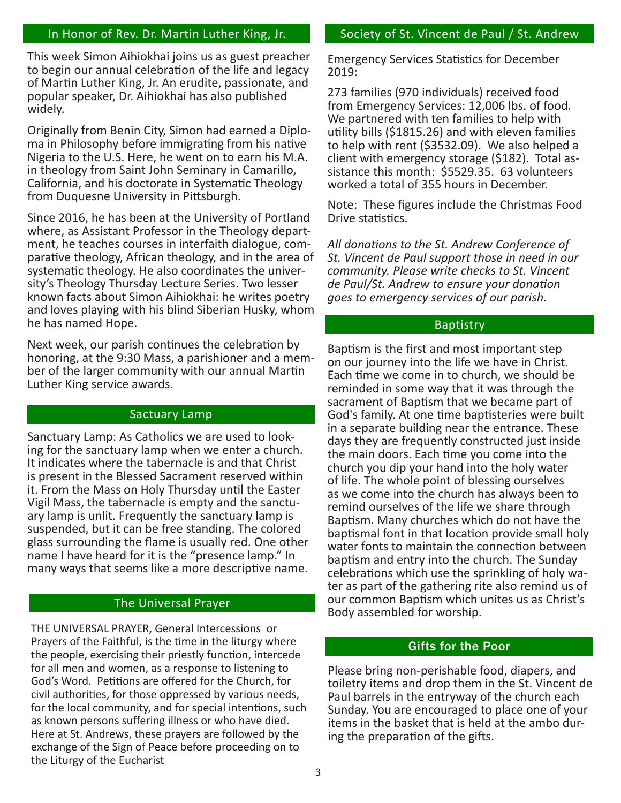## In Honor of Rev. Dr. Martin Luther King, Jr.

This week Simon Aihiokhai joins us as guest preacher to begin our annual celebration of the life and legacy of Martin Luther King, Jr. An erudite, passionate, and popular speaker, Dr. Aihiokhai has also published widely.

Originally from Benin City, Simon had earned a Diploma in Philosophy before immigrating from his native Nigeria to the U.S. Here, he went on to earn his M.A. in theology from Saint John Seminary in Camarillo, California, and his doctorate in Systematic Theology from Duquesne University in Pittsburgh.

Since 2016, he has been at the University of Portland where, as Assistant Professor in the Theology depart-<br>ment, he teaches courses in interfaith dialogue, com-<br>parative theology, African theology, and in the area of systematic theology. He also coordinates the univer- sity's Theology Thursday Lecture Series. Two lesser known facts about Simon Aihiokhai: he writes poetry and loves playing with his blind Siberian Husky, whom he has named Hope.

Next week, our parish continues the celebration by honoring, at the 9:30 Mass, a parishioner and a member of the larger community with our annual Martin Luther King service awards.

#### Sactuary Lamp

Sanctuary Lamp: As Catholics we are used to looking for the sanctuary lamp when we enter a church. It indicates where the tabernacle is and that Christ is present in the Blessed Sacrament reserved within it. From the Mass on Holy Thursday until the Easter ary lamp is unlit. Frequently the sanctuary lamp is suspended, but it can be free standing. The colored glass surrounding the flame is usually red. One other name I have heard for it is the "presence lamp." In many ways that seems like a more descriptive name.

#### The Universal Prayer

THE UNIVERSAL PRAYER, General Intercessions or Prayers of the Faithful, is the time in the liturgy where the people, exercising their priestly function, intercede for all men and women, as a response to listening to God's Word. Petitions are offered for the Church, for civil authorities, for those oppressed by various needs, for the local community, and for special intentions, such as known persons suffering illness or who have died. Here at St. Andrews, these prayers are followed by the exchange of the Sign of Peace before proceeding on to the Liturgy of the Eucharist

#### Society of St. Vincent de Paul / St. Andrew

Emergency Services Statistics for December 2019:

273 families (970 individuals) received food from Emergency Services: 12,006 lbs. of food. We partnered with ten families to help with utility bills (\$1815.26) and with eleven families to help with rent (\$3532.09). We also helped a client with emergency storage (\$182). Total assistance this month: \$5529.35. 63 volunteers worked a total of 355 hours in December.

Note: These figures include the Christmas Food Drive statistics.

*All donations to the St. Andrew Conference of St. Vincent de Paul support those in need in our community. Please write checks to St. Vincent de Paul/St. Andrew to ensure your donation goes to emergency services of our parish.*

#### Baptistry

Baptism is the first and most important step on our journey into the life we have in Christ. Each time we come in to church, we should be reminded in some way that it was through the sacrament of Baptism that we became part of God's family. At one time baptisteries were built in a separate building near the entrance. These days they are frequently constructed just inside the main doors. Each time you come into the church you dip your hand into the holy water of life. The whole point of blessing ourselves as we come into the church has always been to remind ourselves of the life we share through Baptism. Many churches which do not have the baptismal font in that location provide small holy water fonts to maintain the connection between baptism and entry into the church. The Sunday celebrations which use the sprinkling of holy water as part of the gathering rite also remind us of our common Baptism which unites us as Christ's Body assembled for worship.

#### Gifts for the Poor

Please bring non-perishable food, diapers, and toiletry items and drop them in the St. Vincent de Paul barrels in the entryway of the church each Sunday. You are encouraged to place one of your items in the basket that is held at the ambo during the preparation of the gifts.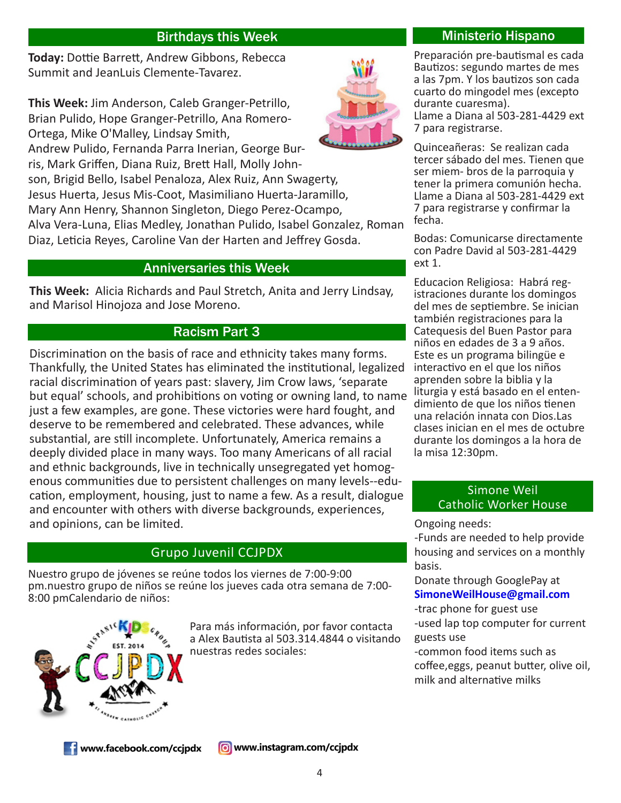## Birthdays this Week Ministerio Hispano

**Today:** Dottie Barrett, Andrew Gibbons, Rebecca Summit and JeanLuis Clemente-Tavarez.

**This Week:** Jim Anderson, Caleb Granger-Petrillo, Brian Pulido, Hope Granger-Petrillo, Ana Romero-Ortega, Mike O'Malley, Lindsay Smith,

Andrew Pulido, Fernanda Parra Inerian, George Burris, Mark Griffen, Diana Ruiz, Brett Hall, Molly John-

son, Brigid Bello, Isabel Penaloza, Alex Ruiz, Ann Swagerty,

Jesus Huerta, Jesus Mis-Coot, Masimiliano Huerta-Jaramillo,

Mary Ann Henry, Shannon Singleton, Diego Perez-Ocampo,

Alva Vera-Luna, Elias Medley, Jonathan Pulido, Isabel Gonzalez, Roman Diaz, Leticia Reyes, Caroline Van der Harten and Jeffrey Gosda.

## Anniversaries this Week

**This Week:** Alicia Richards and Paul Stretch, Anita and Jerry Lindsay, and Marisol Hinojoza and Jose Moreno.

## Racism Part 3

Discrimination on the basis of race and ethnicity takes many forms. Thankfully, the United States has eliminated the institutional, legalized racial discrimination of years past: slavery, Jim Crow laws, 'separate but equal' schools, and prohibitions on voting or owning land, to name just a few examples, are gone. These victories were hard fought, and deserve to be remembered and celebrated. These advances, while substantial, are still incomplete. Unfortunately, America remains a deeply divided place in many ways. Too many Americans of all racial and ethnic backgrounds, live in technically unsegregated yet homogenous communities due to persistent challenges on many levels--education, employment, housing, just to name a few. As a result, dialogue and encounter with others with diverse backgrounds, experiences, and opinions, can be limited.

## Grupo Juvenil CCJPDX

Nuestro grupo de jóvenes se reúne todos los viernes de 7:00-9:00 pm.nuestro grupo de niños se reúne los jueves cada otra semana de 7:00- 8:00 pmCalendario de niños:



Para más información, por favor contacta a Alex Bautista al 503.314.4844 o visitando nuestras redes sociales:

Preparación pre-bautismal es cada Bautizos: segundo martes de mes a las 7pm. Y los bautizos son cada cuarto do mingodel mes (excepto durante cuaresma). Llame a Diana al 503-281-4429 ext 7 para registrarse.

Quinceañeras: Se realizan cada tercer sábado del mes. Tienen que ser miem- bros de la parroquia y tener la primera comunión hecha. Llame a Diana al 503-281-4429 ext 7 para registrarse y confirmar la fecha.

Bodas: Comunicarse directamente con Padre David al 503-281-4429 ext 1.

Educacion Religiosa: Habrá reg- istraciones durante los domingos del mes de septiembre. Se inician también registraciones para la Catequesis del Buen Pastor para niños en edades de 3 a 9 años. Este es un programa bilingüe e interactivo en el que los niños aprenden sobre la biblia y la liturgia y está basado en el enten- dimiento de que los niños tienen una relación innata con Dios.Las clases inician en el mes de octubre durante los domingos a la hora de la misa 12:30pm.

## Simone Weil Catholic Worker House

Ongoing needs:

-Funds are needed to help provide housing and services on a monthly basis.

Donate through GooglePay at **SimoneWeilHouse@gmail.com**

-trac phone for guest use -used lap top computer for current

guests use

-common food items such as coffee,eggs, peanut butter, olive oil, milk and alternative milks

**T** www.facebook.com/ccjpdx

**6** www.instagram.com/ccjpdx